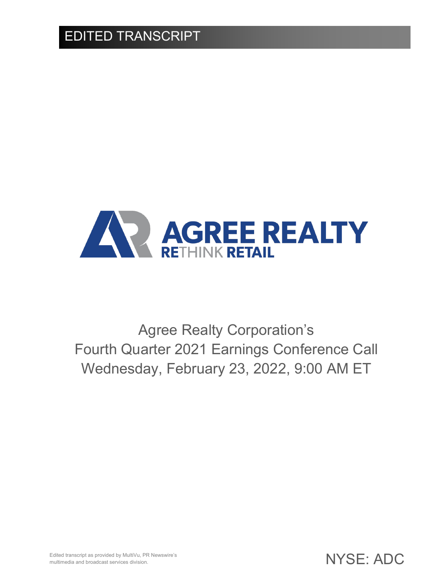

Agree Realty Corporation's Fourth Quarter 2021 Earnings Conference Call Wednesday, February 23, 2022, 9:00 AM ET

Edited transcript as provided by MultiVu, PR Newswire's multimedia and broadcast services division.

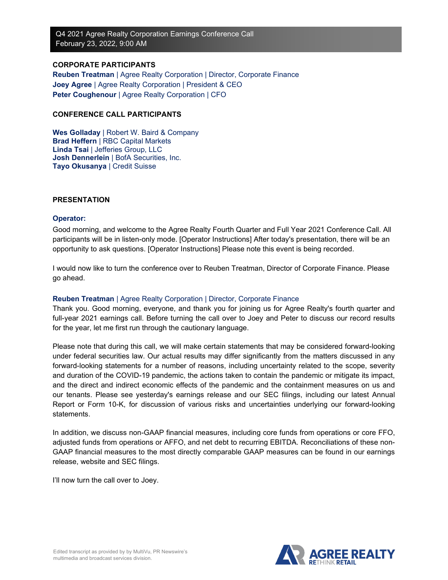## **CORPORATE PARTICIPANTS**

**Reuben Treatman** | Agree Realty Corporation | Director, Corporate Finance **Joey Agree** | Agree Realty Corporation | President & CEO **Peter Coughenour** | Agree Realty Corporation | CFO

## **CONFERENCE CALL PARTICIPANTS**

**Wes Golladay** | Robert W. Baird & Company **Brad Heffern** | RBC Capital Markets **Linda Tsai** | Jefferies Group, LLC **Josh Dennerlein** | BofA Securities, Inc. **Tayo Okusanya** | Credit Suisse

## **PRESENTATION**

## **Operator:**

Good morning, and welcome to the Agree Realty Fourth Quarter and Full Year 2021 Conference Call. All participants will be in listen-only mode. [Operator Instructions] After today's presentation, there will be an opportunity to ask questions. [Operator Instructions] Please note this event is being recorded.

I would now like to turn the conference over to Reuben Treatman, Director of Corporate Finance. Please go ahead.

## **Reuben Treatman** | Agree Realty Corporation | Director, Corporate Finance

Thank you. Good morning, everyone, and thank you for joining us for Agree Realty's fourth quarter and full-year 2021 earnings call. Before turning the call over to Joey and Peter to discuss our record results for the year, let me first run through the cautionary language.

Please note that during this call, we will make certain statements that may be considered forward-looking under federal securities law. Our actual results may differ significantly from the matters discussed in any forward-looking statements for a number of reasons, including uncertainty related to the scope, severity and duration of the COVID-19 pandemic, the actions taken to contain the pandemic or mitigate its impact, and the direct and indirect economic effects of the pandemic and the containment measures on us and our tenants. Please see yesterday's earnings release and our SEC filings, including our latest Annual Report or Form 10-K, for discussion of various risks and uncertainties underlying our forward-looking statements.

In addition, we discuss non-GAAP financial measures, including core funds from operations or core FFO, adjusted funds from operations or AFFO, and net debt to recurring EBITDA. Reconciliations of these non-GAAP financial measures to the most directly comparable GAAP measures can be found in our earnings release, website and SEC filings.

I'll now turn the call over to Joey.

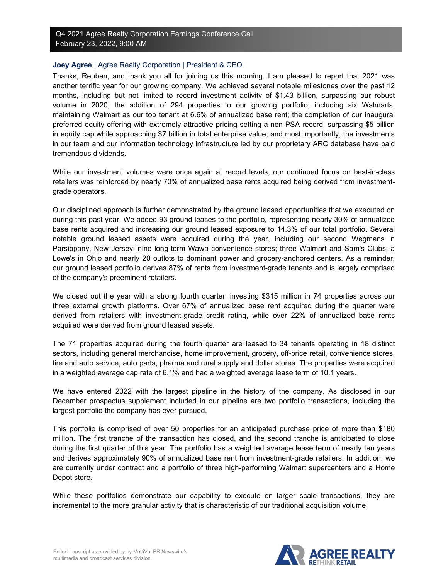## **Joey Agree** | Agree Realty Corporation | President & CEO

Thanks, Reuben, and thank you all for joining us this morning. I am pleased to report that 2021 was another terrific year for our growing company. We achieved several notable milestones over the past 12 months, including but not limited to record investment activity of \$1.43 billion, surpassing our robust volume in 2020; the addition of 294 properties to our growing portfolio, including six Walmarts, maintaining Walmart as our top tenant at 6.6% of annualized base rent; the completion of our inaugural preferred equity offering with extremely attractive pricing setting a non-PSA record; surpassing \$5 billion in equity cap while approaching \$7 billion in total enterprise value; and most importantly, the investments in our team and our information technology infrastructure led by our proprietary ARC database have paid tremendous dividends.

While our investment volumes were once again at record levels, our continued focus on best-in-class retailers was reinforced by nearly 70% of annualized base rents acquired being derived from investmentgrade operators.

Our disciplined approach is further demonstrated by the ground leased opportunities that we executed on during this past year. We added 93 ground leases to the portfolio, representing nearly 30% of annualized base rents acquired and increasing our ground leased exposure to 14.3% of our total portfolio. Several notable ground leased assets were acquired during the year, including our second Wegmans in Parsippany, New Jersey; nine long-term Wawa convenience stores; three Walmart and Sam's Clubs, a Lowe's in Ohio and nearly 20 outlots to dominant power and grocery-anchored centers. As a reminder, our ground leased portfolio derives 87% of rents from investment-grade tenants and is largely comprised of the company's preeminent retailers.

We closed out the year with a strong fourth quarter, investing \$315 million in 74 properties across our three external growth platforms. Over 67% of annualized base rent acquired during the quarter were derived from retailers with investment-grade credit rating, while over 22% of annualized base rents acquired were derived from ground leased assets.

The 71 properties acquired during the fourth quarter are leased to 34 tenants operating in 18 distinct sectors, including general merchandise, home improvement, grocery, off-price retail, convenience stores, tire and auto service, auto parts, pharma and rural supply and dollar stores. The properties were acquired in a weighted average cap rate of 6.1% and had a weighted average lease term of 10.1 years.

We have entered 2022 with the largest pipeline in the history of the company. As disclosed in our December prospectus supplement included in our pipeline are two portfolio transactions, including the largest portfolio the company has ever pursued.

This portfolio is comprised of over 50 properties for an anticipated purchase price of more than \$180 million. The first tranche of the transaction has closed, and the second tranche is anticipated to close during the first quarter of this year. The portfolio has a weighted average lease term of nearly ten years and derives approximately 90% of annualized base rent from investment-grade retailers. In addition, we are currently under contract and a portfolio of three high-performing Walmart supercenters and a Home Depot store.

While these portfolios demonstrate our capability to execute on larger scale transactions, they are incremental to the more granular activity that is characteristic of our traditional acquisition volume.

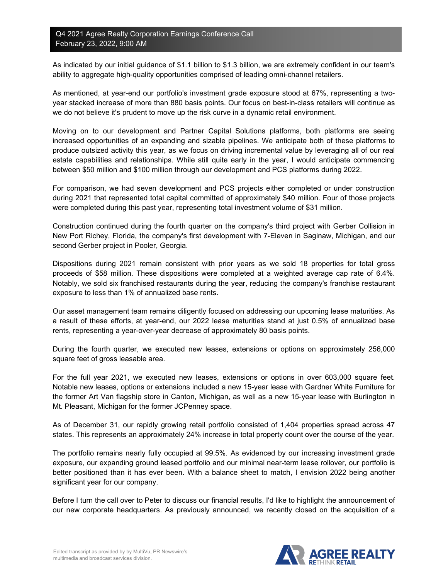As indicated by our initial guidance of \$1.1 billion to \$1.3 billion, we are extremely confident in our team's ability to aggregate high-quality opportunities comprised of leading omni-channel retailers.

As mentioned, at year-end our portfolio's investment grade exposure stood at 67%, representing a twoyear stacked increase of more than 880 basis points. Our focus on best-in-class retailers will continue as we do not believe it's prudent to move up the risk curve in a dynamic retail environment.

Moving on to our development and Partner Capital Solutions platforms, both platforms are seeing increased opportunities of an expanding and sizable pipelines. We anticipate both of these platforms to produce outsized activity this year, as we focus on driving incremental value by leveraging all of our real estate capabilities and relationships. While still quite early in the year, I would anticipate commencing between \$50 million and \$100 million through our development and PCS platforms during 2022.

For comparison, we had seven development and PCS projects either completed or under construction during 2021 that represented total capital committed of approximately \$40 million. Four of those projects were completed during this past year, representing total investment volume of \$31 million.

Construction continued during the fourth quarter on the company's third project with Gerber Collision in New Port Richey, Florida, the company's first development with 7-Eleven in Saginaw, Michigan, and our second Gerber project in Pooler, Georgia.

Dispositions during 2021 remain consistent with prior years as we sold 18 properties for total gross proceeds of \$58 million. These dispositions were completed at a weighted average cap rate of 6.4%. Notably, we sold six franchised restaurants during the year, reducing the company's franchise restaurant exposure to less than 1% of annualized base rents.

Our asset management team remains diligently focused on addressing our upcoming lease maturities. As a result of these efforts, at year-end, our 2022 lease maturities stand at just 0.5% of annualized base rents, representing a year-over-year decrease of approximately 80 basis points.

During the fourth quarter, we executed new leases, extensions or options on approximately 256,000 square feet of gross leasable area.

For the full year 2021, we executed new leases, extensions or options in over 603,000 square feet. Notable new leases, options or extensions included a new 15-year lease with Gardner White Furniture for the former Art Van flagship store in Canton, Michigan, as well as a new 15-year lease with Burlington in Mt. Pleasant, Michigan for the former JCPenney space.

As of December 31, our rapidly growing retail portfolio consisted of 1,404 properties spread across 47 states. This represents an approximately 24% increase in total property count over the course of the year.

The portfolio remains nearly fully occupied at 99.5%. As evidenced by our increasing investment grade exposure, our expanding ground leased portfolio and our minimal near-term lease rollover, our portfolio is better positioned than it has ever been. With a balance sheet to match, I envision 2022 being another significant year for our company.

Before I turn the call over to Peter to discuss our financial results, I'd like to highlight the announcement of our new corporate headquarters. As previously announced, we recently closed on the acquisition of a

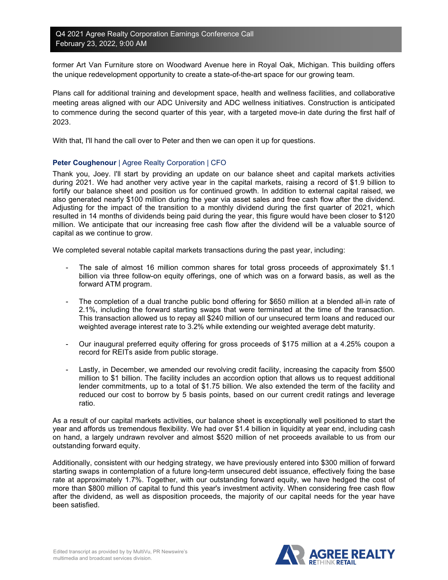former Art Van Furniture store on Woodward Avenue here in Royal Oak, Michigan. This building offers the unique redevelopment opportunity to create a state-of-the-art space for our growing team.

Plans call for additional training and development space, health and wellness facilities, and collaborative meeting areas aligned with our ADC University and ADC wellness initiatives. Construction is anticipated to commence during the second quarter of this year, with a targeted move-in date during the first half of 2023.

With that, I'll hand the call over to Peter and then we can open it up for questions.

## **Peter Coughenour** | Agree Realty Corporation | CFO

Thank you, Joey. I'll start by providing an update on our balance sheet and capital markets activities during 2021. We had another very active year in the capital markets, raising a record of \$1.9 billion to fortify our balance sheet and position us for continued growth. In addition to external capital raised, we also generated nearly \$100 million during the year via asset sales and free cash flow after the dividend. Adjusting for the impact of the transition to a monthly dividend during the first quarter of 2021, which resulted in 14 months of dividends being paid during the year, this figure would have been closer to \$120 million. We anticipate that our increasing free cash flow after the dividend will be a valuable source of capital as we continue to grow.

We completed several notable capital markets transactions during the past year, including:

- The sale of almost 16 million common shares for total gross proceeds of approximately \$1.1 billion via three follow-on equity offerings, one of which was on a forward basis, as well as the forward ATM program.
- The completion of a dual tranche public bond offering for \$650 million at a blended all-in rate of 2.1%, including the forward starting swaps that were terminated at the time of the transaction. This transaction allowed us to repay all \$240 million of our unsecured term loans and reduced our weighted average interest rate to 3.2% while extending our weighted average debt maturity.
- Our inaugural preferred equity offering for gross proceeds of \$175 million at a 4.25% coupon a record for REITs aside from public storage.
- Lastly, in December, we amended our revolving credit facility, increasing the capacity from \$500 million to \$1 billion. The facility includes an accordion option that allows us to request additional lender commitments, up to a total of \$1.75 billion. We also extended the term of the facility and reduced our cost to borrow by 5 basis points, based on our current credit ratings and leverage ratio.

As a result of our capital markets activities, our balance sheet is exceptionally well positioned to start the year and affords us tremendous flexibility. We had over \$1.4 billion in liquidity at year end, including cash on hand, a largely undrawn revolver and almost \$520 million of net proceeds available to us from our outstanding forward equity.

Additionally, consistent with our hedging strategy, we have previously entered into \$300 million of forward starting swaps in contemplation of a future long-term unsecured debt issuance, effectively fixing the base rate at approximately 1.7%. Together, with our outstanding forward equity, we have hedged the cost of more than \$800 million of capital to fund this year's investment activity. When considering free cash flow after the dividend, as well as disposition proceeds, the majority of our capital needs for the year have been satisfied.

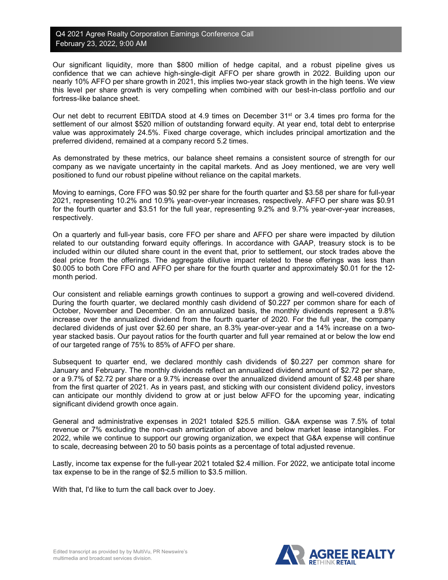Our significant liquidity, more than \$800 million of hedge capital, and a robust pipeline gives us confidence that we can achieve high-single-digit AFFO per share growth in 2022. Building upon our nearly 10% AFFO per share growth in 2021, this implies two-year stack growth in the high teens. We view this level per share growth is very compelling when combined with our best-in-class portfolio and our fortress-like balance sheet.

Our net debt to recurrent EBITDA stood at 4.9 times on December  $31<sup>st</sup>$  or 3.4 times pro forma for the settlement of our almost \$520 million of outstanding forward equity. At year end, total debt to enterprise value was approximately 24.5%. Fixed charge coverage, which includes principal amortization and the preferred dividend, remained at a company record 5.2 times.

As demonstrated by these metrics, our balance sheet remains a consistent source of strength for our company as we navigate uncertainty in the capital markets. And as Joey mentioned, we are very well positioned to fund our robust pipeline without reliance on the capital markets.

Moving to earnings, Core FFO was \$0.92 per share for the fourth quarter and \$3.58 per share for full-year 2021, representing 10.2% and 10.9% year-over-year increases, respectively. AFFO per share was \$0.91 for the fourth quarter and \$3.51 for the full year, representing 9.2% and 9.7% year-over-year increases, respectively.

On a quarterly and full-year basis, core FFO per share and AFFO per share were impacted by dilution related to our outstanding forward equity offerings. In accordance with GAAP, treasury stock is to be included within our diluted share count in the event that, prior to settlement, our stock trades above the deal price from the offerings. The aggregate dilutive impact related to these offerings was less than \$0.005 to both Core FFO and AFFO per share for the fourth quarter and approximately \$0.01 for the 12 month period.

Our consistent and reliable earnings growth continues to support a growing and well-covered dividend. During the fourth quarter, we declared monthly cash dividend of \$0.227 per common share for each of October, November and December. On an annualized basis, the monthly dividends represent a 9.8% increase over the annualized dividend from the fourth quarter of 2020. For the full year, the company declared dividends of just over \$2.60 per share, an 8.3% year-over-year and a 14% increase on a twoyear stacked basis. Our payout ratios for the fourth quarter and full year remained at or below the low end of our targeted range of 75% to 85% of AFFO per share.

Subsequent to quarter end, we declared monthly cash dividends of \$0.227 per common share for January and February. The monthly dividends reflect an annualized dividend amount of \$2.72 per share, or a 9.7% of \$2.72 per share or a 9.7% increase over the annualized dividend amount of \$2.48 per share from the first quarter of 2021. As in years past, and sticking with our consistent dividend policy, investors can anticipate our monthly dividend to grow at or just below AFFO for the upcoming year, indicating significant dividend growth once again.

General and administrative expenses in 2021 totaled \$25.5 million. G&A expense was 7.5% of total revenue or 7% excluding the non-cash amortization of above and below market lease intangibles. For 2022, while we continue to support our growing organization, we expect that G&A expense will continue to scale, decreasing between 20 to 50 basis points as a percentage of total adjusted revenue.

Lastly, income tax expense for the full-year 2021 totaled \$2.4 million. For 2022, we anticipate total income tax expense to be in the range of \$2.5 million to \$3.5 million.

With that, I'd like to turn the call back over to Joey.

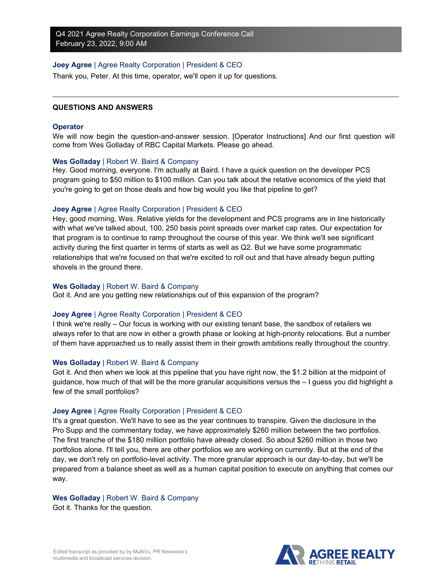## **Joey Agree** | Agree Realty Corporation | President & CEO

Thank you, Peter. At this time, operator, we'll open it up for questions.

#### **QUESTIONS AND ANSWERS**

#### **Operator**

We will now begin the question-and-answer session. [Operator Instructions] And our first question will come from Wes Golladay of RBC Capital Markets. Please go ahead.

#### **Wes Golladay** | Robert W. Baird & Company

Hey. Good morning, everyone. I'm actually at Baird. I have a quick question on the developer PCS program going to \$50 million to \$100 million. Can you talk about the relative economics of the yield that you're going to get on those deals and how big would you like that pipeline to get?

#### **Joey Agree** | Agree Realty Corporation | President & CEO

Hey, good morning, Wes. Relative yields for the development and PCS programs are in line historically with what we've talked about, 100, 250 basis point spreads over market cap rates. Our expectation for that program is to continue to ramp throughout the course of this year. We think we'll see significant activity during the first quarter in terms of starts as well as Q2. But we have some programmatic relationships that we're focused on that we're excited to roll out and that have already begun putting shovels in the ground there.

#### **Wes Golladay** | Robert W. Baird & Company

Got it. And are you getting new relationships out of this expansion of the program?

#### **Joey Agree** | Agree Realty Corporation | President & CEO

I think we're really – Our focus is working with our existing tenant base, the sandbox of retailers we always refer to that are now in either a growth phase or looking at high-priority relocations. But a number of them have approached us to really assist them in their growth ambitions really throughout the country.

#### **Wes Golladay** | Robert W. Baird & Company

Got it. And then when we look at this pipeline that you have right now, the \$1.2 billion at the midpoint of guidance, how much of that will be the more granular acquisitions versus the – I guess you did highlight a few of the small portfolios?

## **Joey Agree** | Agree Realty Corporation | President & CEO

It's a great question. We'll have to see as the year continues to transpire. Given the disclosure in the Pro Supp and the commentary today, we have approximately \$260 million between the two portfolios. The first tranche of the \$180 million portfolio have already closed. So about \$260 million in those two portfolios alone. I'll tell you, there are other portfolios we are working on currently. But at the end of the day, we don't rely on portfolio-level activity. The more granular approach is our day-to-day, but we'll be prepared from a balance sheet as well as a human capital position to execute on anything that comes our way.

#### **Wes Golladay** | Robert W. Baird & Company

Got it. Thanks for the question.

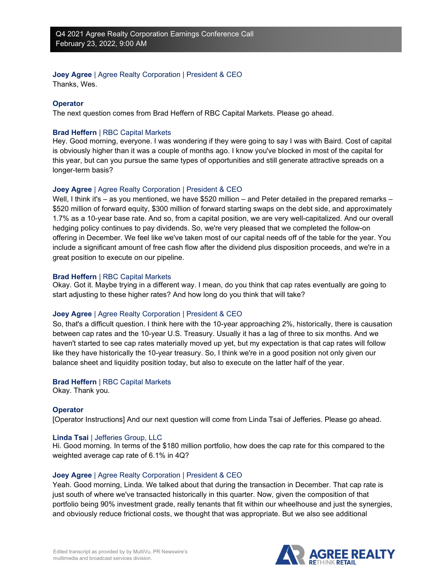# **Joey Agree** | Agree Realty Corporation | President & CEO

Thanks, Wes.

# **Operator**

The next question comes from Brad Heffern of RBC Capital Markets. Please go ahead.

# **Brad Heffern** | RBC Capital Markets

Hey. Good morning, everyone. I was wondering if they were going to say I was with Baird. Cost of capital is obviously higher than it was a couple of months ago. I know you've blocked in most of the capital for this year, but can you pursue the same types of opportunities and still generate attractive spreads on a longer-term basis?

# **Joey Agree** | Agree Realty Corporation | President & CEO

Well, I think it's – as you mentioned, we have \$520 million – and Peter detailed in the prepared remarks – \$520 million of forward equity, \$300 million of forward starting swaps on the debt side, and approximately 1.7% as a 10-year base rate. And so, from a capital position, we are very well-capitalized. And our overall hedging policy continues to pay dividends. So, we're very pleased that we completed the follow-on offering in December. We feel like we've taken most of our capital needs off of the table for the year. You include a significant amount of free cash flow after the dividend plus disposition proceeds, and we're in a great position to execute on our pipeline.

# **Brad Heffern** | RBC Capital Markets

Okay. Got it. Maybe trying in a different way. I mean, do you think that cap rates eventually are going to start adjusting to these higher rates? And how long do you think that will take?

# **Joey Agree** | Agree Realty Corporation | President & CEO

So, that's a difficult question. I think here with the 10-year approaching 2%, historically, there is causation between cap rates and the 10-year U.S. Treasury. Usually it has a lag of three to six months. And we haven't started to see cap rates materially moved up yet, but my expectation is that cap rates will follow like they have historically the 10-year treasury. So, I think we're in a good position not only given our balance sheet and liquidity position today, but also to execute on the latter half of the year.

# **Brad Heffern** | RBC Capital Markets

Okay. Thank you.

# **Operator**

[Operator Instructions] And our next question will come from Linda Tsai of Jefferies. Please go ahead.

# **Linda Tsai** | Jefferies Group, LLC

Hi. Good morning. In terms of the \$180 million portfolio, how does the cap rate for this compared to the weighted average cap rate of 6.1% in 4Q?

# **Joey Agree** | Agree Realty Corporation | President & CEO

Yeah. Good morning, Linda. We talked about that during the transaction in December. That cap rate is just south of where we've transacted historically in this quarter. Now, given the composition of that portfolio being 90% investment grade, really tenants that fit within our wheelhouse and just the synergies, and obviously reduce frictional costs, we thought that was appropriate. But we also see additional

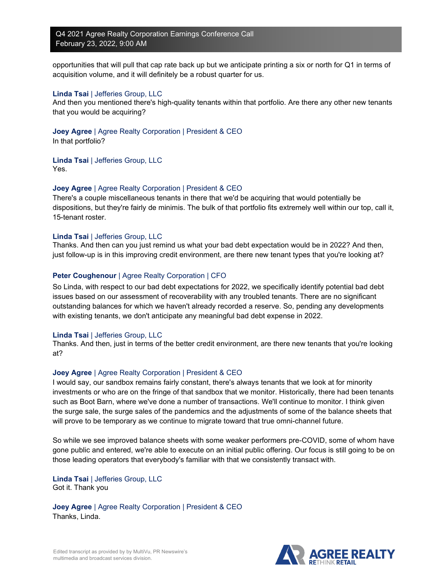opportunities that will pull that cap rate back up but we anticipate printing a six or north for Q1 in terms of acquisition volume, and it will definitely be a robust quarter for us.

## **Linda Tsai** | Jefferies Group, LLC

And then you mentioned there's high-quality tenants within that portfolio. Are there any other new tenants that you would be acquiring?

**Joey Agree** | Agree Realty Corporation | President & CEO

In that portfolio?

**Linda Tsai** | Jefferies Group, LLC Yes.

## **Joey Agree** | Agree Realty Corporation | President & CEO

There's a couple miscellaneous tenants in there that we'd be acquiring that would potentially be dispositions, but they're fairly de minimis. The bulk of that portfolio fits extremely well within our top, call it, 15-tenant roster.

## **Linda Tsai** | Jefferies Group, LLC

Thanks. And then can you just remind us what your bad debt expectation would be in 2022? And then, just follow-up is in this improving credit environment, are there new tenant types that you're looking at?

# **Peter Coughenour** | Agree Realty Corporation | CFO

So Linda, with respect to our bad debt expectations for 2022, we specifically identify potential bad debt issues based on our assessment of recoverability with any troubled tenants. There are no significant outstanding balances for which we haven't already recorded a reserve. So, pending any developments with existing tenants, we don't anticipate any meaningful bad debt expense in 2022.

## **Linda Tsai** | Jefferies Group, LLC

Thanks. And then, just in terms of the better credit environment, are there new tenants that you're looking at?

## **Joey Agree** | Agree Realty Corporation | President & CEO

I would say, our sandbox remains fairly constant, there's always tenants that we look at for minority investments or who are on the fringe of that sandbox that we monitor. Historically, there had been tenants such as Boot Barn, where we've done a number of transactions. We'll continue to monitor. I think given the surge sale, the surge sales of the pandemics and the adjustments of some of the balance sheets that will prove to be temporary as we continue to migrate toward that true omni-channel future.

So while we see improved balance sheets with some weaker performers pre-COVID, some of whom have gone public and entered, we're able to execute on an initial public offering. Our focus is still going to be on those leading operators that everybody's familiar with that we consistently transact with.

**Linda Tsai** | Jefferies Group, LLC Got it. Thank you

**Joey Agree** | Agree Realty Corporation | President & CEO Thanks, Linda.

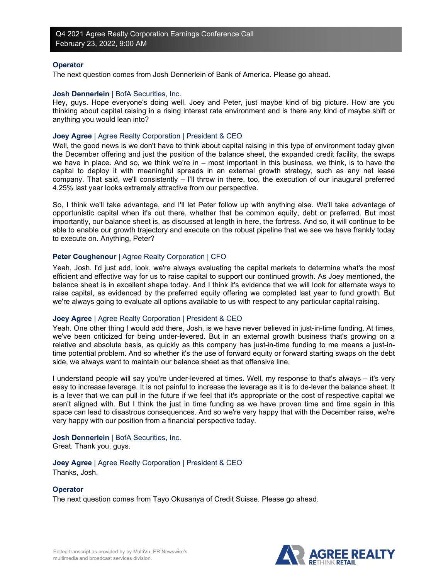#### **Operator**

The next question comes from Josh Dennerlein of Bank of America. Please go ahead.

#### **Josh Dennerlein** | BofA Securities, Inc.

Hey, guys. Hope everyone's doing well. Joey and Peter, just maybe kind of big picture. How are you thinking about capital raising in a rising interest rate environment and is there any kind of maybe shift or anything you would lean into?

#### **Joey Agree** | Agree Realty Corporation | President & CEO

Well, the good news is we don't have to think about capital raising in this type of environment today given the December offering and just the position of the balance sheet, the expanded credit facility, the swaps we have in place. And so, we think we're in – most important in this business, we think, is to have the capital to deploy it with meaningful spreads in an external growth strategy, such as any net lease company. That said, we'll consistently – I'll throw in there, too, the execution of our inaugural preferred 4.25% last year looks extremely attractive from our perspective.

So, I think we'll take advantage, and I'll let Peter follow up with anything else. We'll take advantage of opportunistic capital when it's out there, whether that be common equity, debt or preferred. But most importantly, our balance sheet is, as discussed at length in here, the fortress. And so, it will continue to be able to enable our growth trajectory and execute on the robust pipeline that we see we have frankly today to execute on. Anything, Peter?

## **Peter Coughenour** | Agree Realty Corporation | CFO

Yeah, Josh. I'd just add, look, we're always evaluating the capital markets to determine what's the most efficient and effective way for us to raise capital to support our continued growth. As Joey mentioned, the balance sheet is in excellent shape today. And I think it's evidence that we will look for alternate ways to raise capital, as evidenced by the preferred equity offering we completed last year to fund growth. But we're always going to evaluate all options available to us with respect to any particular capital raising.

## **Joey Agree** | Agree Realty Corporation | President & CEO

Yeah. One other thing I would add there, Josh, is we have never believed in just-in-time funding. At times, we've been criticized for being under-levered. But in an external growth business that's growing on a relative and absolute basis, as quickly as this company has just-in-time funding to me means a just-intime potential problem. And so whether it's the use of forward equity or forward starting swaps on the debt side, we always want to maintain our balance sheet as that offensive line.

I understand people will say you're under-levered at times. Well, my response to that's always – it's very easy to increase leverage. It is not painful to increase the leverage as it is to de-lever the balance sheet. It is a lever that we can pull in the future if we feel that it's appropriate or the cost of respective capital we aren't aligned with. But I think the just in time funding as we have proven time and time again in this space can lead to disastrous consequences. And so we're very happy that with the December raise, we're very happy with our position from a financial perspective today.

**Josh Dennerlein** | BofA Securities, Inc.

Great. Thank you, guys.

**Joey Agree** | Agree Realty Corporation | President & CEO Thanks, Josh.

## **Operator**

The next question comes from Tayo Okusanya of Credit Suisse. Please go ahead.

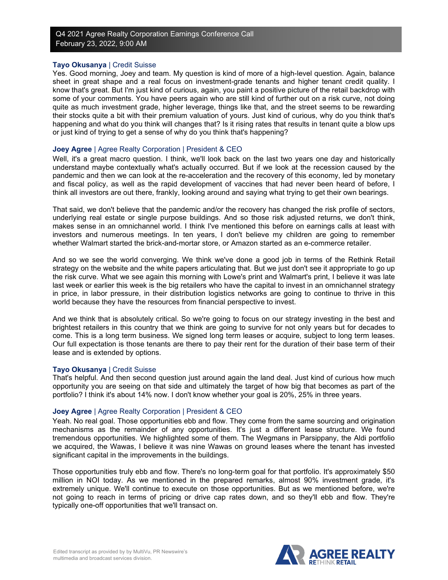## **Tayo Okusanya** | Credit Suisse

Yes. Good morning, Joey and team. My question is kind of more of a high-level question. Again, balance sheet in great shape and a real focus on investment-grade tenants and higher tenant credit quality. I know that's great. But I'm just kind of curious, again, you paint a positive picture of the retail backdrop with some of your comments. You have peers again who are still kind of further out on a risk curve, not doing quite as much investment grade, higher leverage, things like that, and the street seems to be rewarding their stocks quite a bit with their premium valuation of yours. Just kind of curious, why do you think that's happening and what do you think will changes that? Is it rising rates that results in tenant quite a blow ups or just kind of trying to get a sense of why do you think that's happening?

## **Joey Agree** | Agree Realty Corporation | President & CEO

Well, it's a great macro question. I think, we'll look back on the last two years one day and historically understand maybe contextually what's actually occurred. But if we look at the recession caused by the pandemic and then we can look at the re-acceleration and the recovery of this economy, led by monetary and fiscal policy, as well as the rapid development of vaccines that had never been heard of before, I think all investors are out there, frankly, looking around and saying what trying to get their own bearings.

That said, we don't believe that the pandemic and/or the recovery has changed the risk profile of sectors, underlying real estate or single purpose buildings. And so those risk adjusted returns, we don't think, makes sense in an omnichannel world. I think I've mentioned this before on earnings calls at least with investors and numerous meetings. In ten years, I don't believe my children are going to remember whether Walmart started the brick-and-mortar store, or Amazon started as an e-commerce retailer.

And so we see the world converging. We think we've done a good job in terms of the Rethink Retail strategy on the website and the white papers articulating that. But we just don't see it appropriate to go up the risk curve. What we see again this morning with Lowe's print and Walmart's print, I believe it was late last week or earlier this week is the big retailers who have the capital to invest in an omnichannel strategy in price, in labor pressure, in their distribution logistics networks are going to continue to thrive in this world because they have the resources from financial perspective to invest.

And we think that is absolutely critical. So we're going to focus on our strategy investing in the best and brightest retailers in this country that we think are going to survive for not only years but for decades to come. This is a long term business. We signed long term leases or acquire, subject to long term leases. Our full expectation is those tenants are there to pay their rent for the duration of their base term of their lease and is extended by options.

## **Tayo Okusanya** | Credit Suisse

That's helpful. And then second question just around again the land deal. Just kind of curious how much opportunity you are seeing on that side and ultimately the target of how big that becomes as part of the portfolio? I think it's about 14% now. I don't know whether your goal is 20%, 25% in three years.

# **Joey Agree** | Agree Realty Corporation | President & CEO

Yeah. No real goal. Those opportunities ebb and flow. They come from the same sourcing and origination mechanisms as the remainder of any opportunities. It's just a different lease structure. We found tremendous opportunities. We highlighted some of them. The Wegmans in Parsippany, the Aldi portfolio we acquired, the Wawas, I believe it was nine Wawas on ground leases where the tenant has invested significant capital in the improvements in the buildings.

Those opportunities truly ebb and flow. There's no long-term goal for that portfolio. It's approximately \$50 million in NOI today. As we mentioned in the prepared remarks, almost 90% investment grade, it's extremely unique. We'll continue to execute on those opportunities. But as we mentioned before, we're not going to reach in terms of pricing or drive cap rates down, and so they'll ebb and flow. They're typically one-off opportunities that we'll transact on.